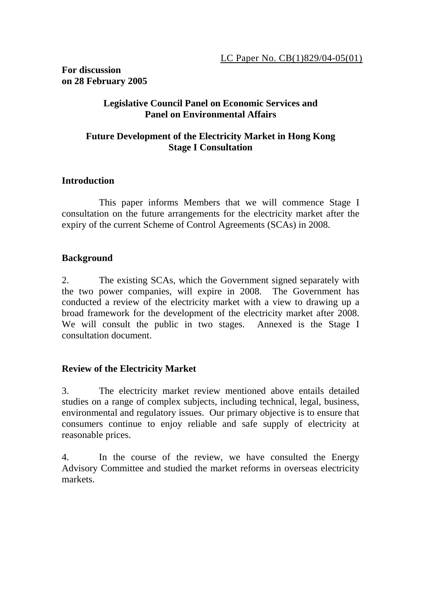#### **For discussion on 28 February 2005**

#### **Legislative Council Panel on Economic Services and Panel on Environmental Affairs**

#### **Future Development of the Electricity Market in Hong Kong Stage I Consultation**

#### **Introduction**

 This paper informs Members that we will commence Stage I consultation on the future arrangements for the electricity market after the expiry of the current Scheme of Control Agreements (SCAs) in 2008.

#### **Background**

2. The existing SCAs, which the Government signed separately with the two power companies, will expire in 2008. The Government has conducted a review of the electricity market with a view to drawing up a broad framework for the development of the electricity market after 2008. We will consult the public in two stages. Annexed is the Stage I consultation document.

#### **Review of the Electricity Market**

3. The electricity market review mentioned above entails detailed studies on a range of complex subjects, including technical, legal, business, environmental and regulatory issues. Our primary objective is to ensure that consumers continue to enjoy reliable and safe supply of electricity at reasonable prices.

4. In the course of the review, we have consulted the Energy Advisory Committee and studied the market reforms in overseas electricity markets.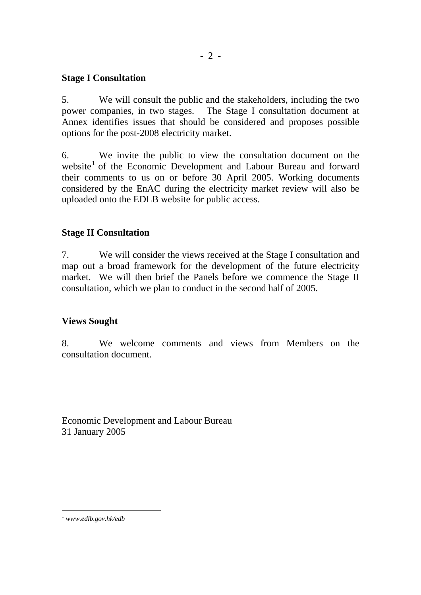#### **Stage I Consultation**

5. We will consult the public and the stakeholders, including the two power companies, in two stages. The Stage I consultation document at Annex identifies issues that should be considered and proposes possible options for the post-2008 electricity market.

6. We invite the public to view the consultation document on the website<sup>1</sup> of the Economic Development and Labour Bureau and forward their comments to us on or before 30 April 2005. Working documents considered by the EnAC during the electricity market review will also be uploaded onto the EDLB website for public access.

#### **Stage II Consultation**

7. We will consider the views received at the Stage I consultation and map out a broad framework for the development of the future electricity market. We will then brief the Panels before we commence the Stage II consultation, which we plan to conduct in the second half of 2005.

#### **Views Sought**

8. We welcome comments and views from Members on the consultation document.

Economic Development and Labour Bureau 31 January 2005

 $\overline{a}$ 

<sup>1</sup>  *www.edlb.gov.hk/edb*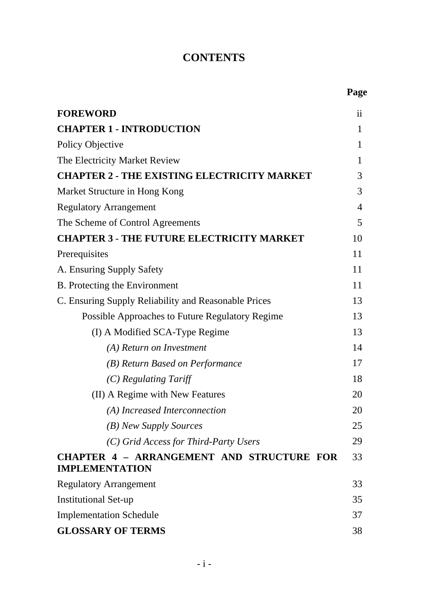# **CONTENTS**

 **Page**

| <b>FOREWORD</b>                                                           | $\overline{11}$ |
|---------------------------------------------------------------------------|-----------------|
| <b>CHAPTER 1 - INTRODUCTION</b>                                           | $\mathbf{1}$    |
| Policy Objective                                                          | 1               |
| The Electricity Market Review                                             | 1               |
| <b>CHAPTER 2 - THE EXISTING ELECTRICITY MARKET</b>                        | 3               |
| Market Structure in Hong Kong                                             | 3               |
| <b>Regulatory Arrangement</b>                                             | $\overline{4}$  |
| The Scheme of Control Agreements                                          | 5               |
| <b>CHAPTER 3 - THE FUTURE ELECTRICITY MARKET</b>                          | 10              |
| Prerequisites                                                             | 11              |
| A. Ensuring Supply Safety                                                 | 11              |
| B. Protecting the Environment                                             | 11              |
| C. Ensuring Supply Reliability and Reasonable Prices                      | 13              |
| <b>Possible Approaches to Future Regulatory Regime</b>                    | 13              |
| (I) A Modified SCA-Type Regime                                            | 13              |
| (A) Return on Investment                                                  | 14              |
| (B) Return Based on Performance                                           | 17              |
| $(C)$ Regulating Tariff                                                   | 18              |
| (II) A Regime with New Features                                           | 20              |
| (A) Increased Interconnection                                             | 20              |
| (B) New Supply Sources                                                    | 25              |
| (C) Grid Access for Third-Party Users                                     | 29              |
| <b>CHAPTER 4 - ARRANGEMENT AND STRUCTURE FOR</b><br><b>IMPLEMENTATION</b> | 33              |
| <b>Regulatory Arrangement</b>                                             | 33              |
| <b>Institutional Set-up</b>                                               | 35              |
| <b>Implementation Schedule</b>                                            | 37              |
| <b>GLOSSARY OF TERMS</b>                                                  | 38              |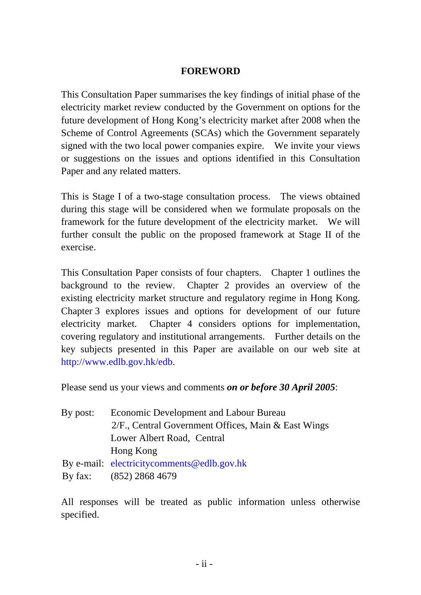### **FOREWORD**

This Consultation Paper summarises the key findings of initial phase of the electricity market review conducted by the Government on options for the future development of Hong Kong's electricity market after 2008 when the Scheme of Control Agreements (SCAs) which the Government separately signed with the two local power companies expire. We invite your views or suggestions on the issues and options identified in this Consultation Paper and any related matters.

This is Stage I of a two-stage consultation process. The views obtained during this stage will be considered when we formulate proposals on the framework for the future development of the electricity market. We will further consult the public on the proposed framework at Stage II of the exercise.

This Consultation Paper consists of four chapters. Chapter 1 outlines the background to the review. Chapter 2 provides an overview of the existing electricity market structure and regulatory regime in Hong Kong. Chapter 3 explores issues and options for development of our future electricity market. Chapter 4 considers options for implementation, covering regulatory and institutional arrangements. Further details on the key subjects presented in this Paper are available on our web site at http://www.edlb.gov.hk/edb.

Please send us your views and comments *on or before 30 April 2005*:

| By post:                                               | <b>Economic Development and Labour Bureau</b> |  |  |
|--------------------------------------------------------|-----------------------------------------------|--|--|
| $2/F$ ., Central Government Offices, Main & East Wings |                                               |  |  |
|                                                        | Lower Albert Road, Central                    |  |  |
|                                                        | Hong Kong                                     |  |  |
|                                                        | By e-mail: electricity comments @ edlb.gov.hk |  |  |
| By fax:                                                | $(852)$ 2868 4679                             |  |  |

All responses will be treated as public information unless otherwise specified.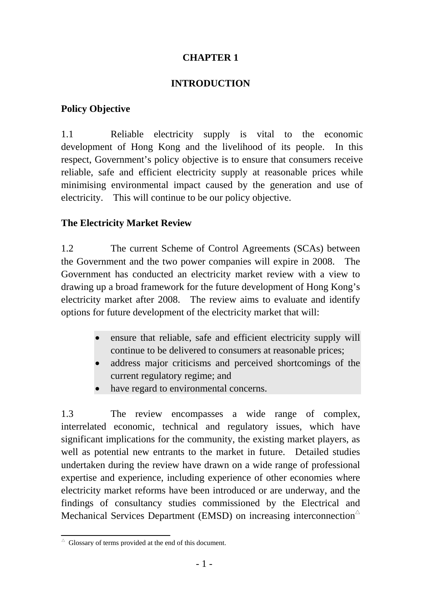### **CHAPTER 1**

### **INTRODUCTION**

### **Policy Objective**

1.1 Reliable electricity supply is vital to the economic development of Hong Kong and the livelihood of its people. In this respect, Government's policy objective is to ensure that consumers receive reliable, safe and efficient electricity supply at reasonable prices while minimising environmental impact caused by the generation and use of electricity. This will continue to be our policy objective.

### **The Electricity Market Review**

1.2 The current Scheme of Control Agreements (SCAs) between the Government and the two power companies will expire in 2008. The Government has conducted an electricity market review with a view to drawing up a broad framework for the future development of Hong Kong's electricity market after 2008. The review aims to evaluate and identify options for future development of the electricity market that will:

- ensure that reliable, safe and efficient electricity supply will continue to be delivered to consumers at reasonable prices;
- address major criticisms and perceived shortcomings of the current regulatory regime; and
- have regard to environmental concerns.

1.3 The review encompasses a wide range of complex, interrelated economic, technical and regulatory issues, which have significant implications for the community, the existing market players, as well as potential new entrants to the market in future. Detailed studies undertaken during the review have drawn on a wide range of professional expertise and experience, including experience of other economies where electricity market reforms have been introduced or are underway, and the findings of consultancy studies commissioned by the Electrical and Mechanical Services Department (EMSD) on increasing interconnection $\triangle$ 

 $\triangle$  Glossary of terms provided at the end of this document.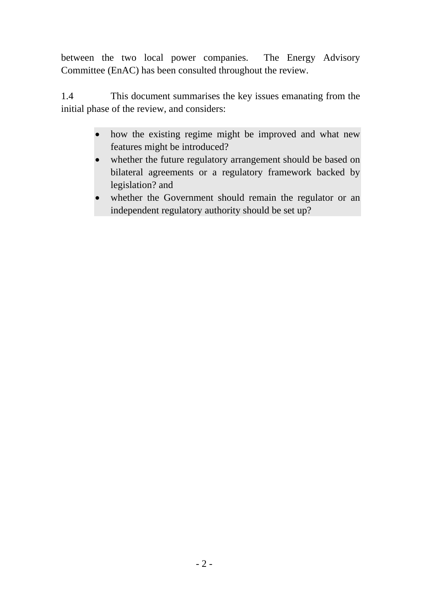between the two local power companies. The Energy Advisory Committee (EnAC) has been consulted throughout the review.

1.4 This document summarises the key issues emanating from the initial phase of the review, and considers:

- how the existing regime might be improved and what new features might be introduced?
- whether the future regulatory arrangement should be based on bilateral agreements or a regulatory framework backed by legislation? and
- whether the Government should remain the regulator or an independent regulatory authority should be set up?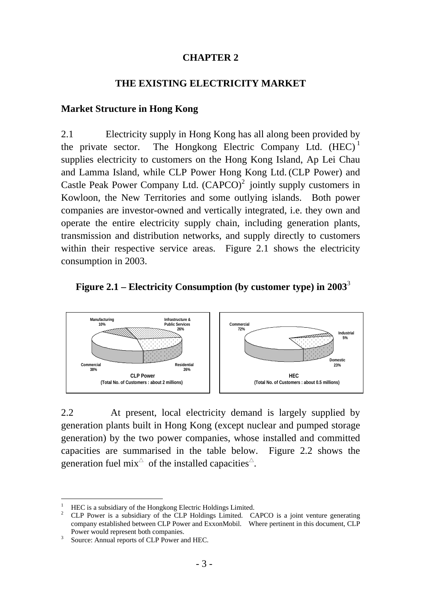#### **CHAPTER 2**

#### **THE EXISTING ELECTRICITY MARKET**

#### **Market Structure in Hong Kong**

2.1 Electricity supply in Hong Kong has all along been provided by the private sector. The Hongkong Electric Company Ltd.  $(HEC)^1$ supplies electricity to customers on the Hong Kong Island, Ap Lei Chau and Lamma Island, while CLP Power Hong Kong Ltd. (CLP Power) and Castle Peak Power Company Ltd.  $(CAPCO)^2$  jointly supply customers in Kowloon, the New Territories and some outlying islands. Both power companies are investor-owned and vertically integrated, i.e. they own and operate the entire electricity supply chain, including generation plants, transmission and distribution networks, and supply directly to customers within their respective service areas. Figure 2.1 shows the electricity consumption in 2003.

#### **Figure 2.1 – Electricity Consumption (by customer type) in 2003**<sup>3</sup>



2.2 At present, local electricity demand is largely supplied by generation plants built in Hong Kong (except nuclear and pumped storage generation) by the two power companies, whose installed and committed capacities are summarised in the table below. Figure 2.2 shows the generation fuel mix<sup> $\triangle$ </sup> of the installed capacities<sup> $\triangle$ </sup>.

l 1 HEC is a subsidiary of the Hongkong Electric Holdings Limited.

<sup>&</sup>lt;sup>2</sup> CLP Power is a subsidiary of the CLP Holdings Limited. CAPCO is a joint venture generating company established between CLP Power and ExxonMobil. Where pertinent in this document, CLP Power would represent both companies.

Source: Annual reports of CLP Power and HEC.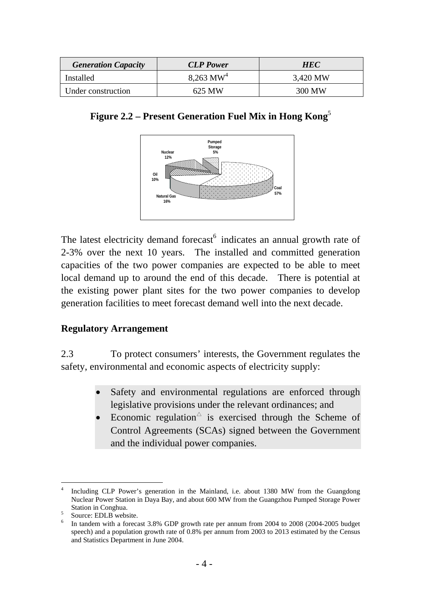| <b>Generation Capacity</b> | <b>CLP</b> Power        | <b>HEC</b> |  |
|----------------------------|-------------------------|------------|--|
| Installed                  | $8,263$ MW <sup>4</sup> | 3,420 MW   |  |
| Under construction         | 625 MW                  | 300 MW     |  |

| Figure 2.2 – Present Generation Fuel Mix in Hong Kong' |  |  |  |
|--------------------------------------------------------|--|--|--|
|                                                        |  |  |  |



The latest electricity demand forecast<sup>6</sup> indicates an annual growth rate of 2-3% over the next 10 years. The installed and committed generation capacities of the two power companies are expected to be able to meet local demand up to around the end of this decade. There is potential at the existing power plant sites for the two power companies to develop generation facilities to meet forecast demand well into the next decade.

### **Regulatory Arrangement**

2.3 To protect consumers' interests, the Government regulates the safety, environmental and economic aspects of electricity supply:

- Safety and environmental regulations are enforced through legislative provisions under the relevant ordinances; and
- Economic regulation $\circ$  is exercised through the Scheme of Control Agreements (SCAs) signed between the Government and the individual power companies.

 $\overline{a}$ 4 Including CLP Power's generation in the Mainland, i.e. about 1380 MW from the Guangdong Nuclear Power Station in Daya Bay, and about 600 MW from the Guangzhou Pumped Storage Power Station in Conghua.

Source: EDLB website.

<sup>6</sup> In tandem with a forecast 3.8% GDP growth rate per annum from 2004 to 2008 (2004-2005 budget speech) and a population growth rate of 0.8% per annum from 2003 to 2013 estimated by the Census and Statistics Department in June 2004.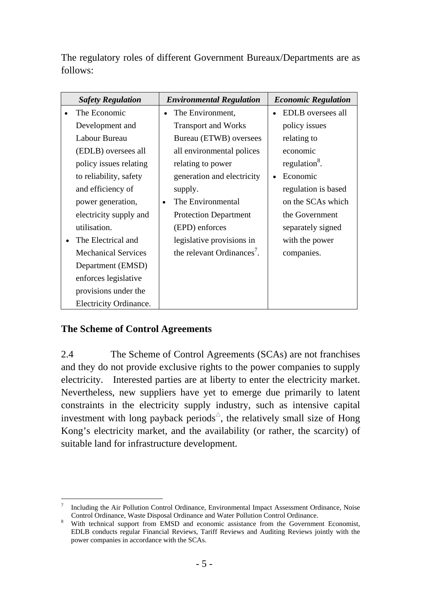The regulatory roles of different Government Bureaux/Departments are as follows:

| <b>Safety Regulation</b>   |           | <b>Environmental Regulation</b>        | <b>Economic Regulation</b> |
|----------------------------|-----------|----------------------------------------|----------------------------|
| The Economic               | $\bullet$ | The Environment,                       | EDLB oversees all          |
| Development and            |           | <b>Transport and Works</b>             | policy issues              |
| Labour Bureau              |           | Bureau (ETWB) oversees                 | relating to                |
| (EDLB) oversees all        |           | all environmental polices              | economic                   |
| policy issues relating     |           | relating to power                      | regulation <sup>8</sup> .  |
| to reliability, safety     |           | generation and electricity             | Economic                   |
| and efficiency of          |           | supply.                                | regulation is based        |
| power generation,          | $\bullet$ | The Environmental                      | on the SCAs which          |
| electricity supply and     |           | <b>Protection Department</b>           | the Government             |
| utilisation.               |           | (EPD) enforces                         | separately signed          |
| The Electrical and         |           | legislative provisions in              | with the power             |
| <b>Mechanical Services</b> |           | the relevant Ordinances <sup>7</sup> . | companies.                 |
| Department (EMSD)          |           |                                        |                            |
| enforces legislative       |           |                                        |                            |
| provisions under the       |           |                                        |                            |
| Electricity Ordinance.     |           |                                        |                            |

## **The Scheme of Control Agreements**

2.4 The Scheme of Control Agreements (SCAs) are not franchises and they do not provide exclusive rights to the power companies to supply electricity. Interested parties are at liberty to enter the electricity market. Nevertheless, new suppliers have yet to emerge due primarily to latent constraints in the electricity supply industry, such as intensive capital investment with long payback periods $\triangle$ , the relatively small size of Hong Kong's electricity market, and the availability (or rather, the scarcity) of suitable land for infrastructure development.

l 7 Including the Air Pollution Control Ordinance, Environmental Impact Assessment Ordinance, Noise Control Ordinance, Waste Disposal Ordinance and Water Pollution Control Ordinance. 8

With technical support from EMSD and economic assistance from the Government Economist, EDLB conducts regular Financial Reviews, Tariff Reviews and Auditing Reviews jointly with the power companies in accordance with the SCAs.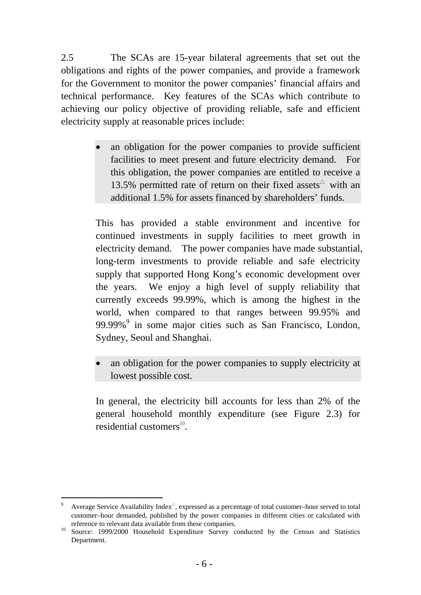2.5 The SCAs are 15-year bilateral agreements that set out the obligations and rights of the power companies, and provide a framework for the Government to monitor the power companies' financial affairs and technical performance. Key features of the SCAs which contribute to achieving our policy objective of providing reliable, safe and efficient electricity supply at reasonable prices include:

> an obligation for the power companies to provide sufficient facilities to meet present and future electricity demand. For this obligation, the power companies are entitled to receive a 13.5% permitted rate of return on their fixed assets<sup> $\triangle$ </sup> with an additional 1.5% for assets financed by shareholders' funds.

> This has provided a stable environment and incentive for continued investments in supply facilities to meet growth in electricity demand. The power companies have made substantial, long-term investments to provide reliable and safe electricity supply that supported Hong Kong's economic development over the years. We enjoy a high level of supply reliability that currently exceeds 99.99%, which is among the highest in the world, when compared to that ranges between 99.95% and 99.99%<sup>9</sup> in some major cities such as San Francisco, London, Sydney, Seoul and Shanghai.

> • an obligation for the power companies to supply electricity at lowest possible cost.

> In general, the electricity bill accounts for less than 2% of the general household monthly expenditure (see Figure 2.3) for residential customers $^{10}$ .

l 9 Average Service Availability  $Index^{\triangle}$ , expressed as a percentage of total customer–hour served to total customer–hour demanded, published by the power companies in different cities or calculated with

reference to relevant data available from these companies.<br><sup>10</sup> Source: 1999/2000 Household Expenditure Survey conducted by the Census and Statistics Department.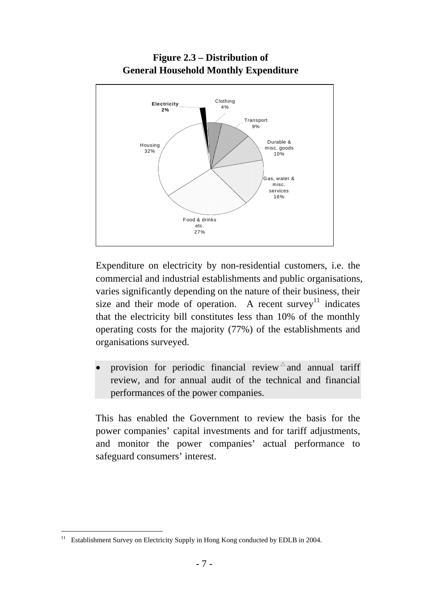

Expenditure on electricity by non-residential customers, i.e. the commercial and industrial establishments and public organisations, varies significantly depending on the nature of their business, their size and their mode of operation. A recent survey<sup>11</sup> indicates that the electricity bill constitutes less than 10% of the monthly operating costs for the majority (77%) of the establishments and organisations surveyed.

• provision for periodic financial review  $\triangle$  and annual tariff review, and for annual audit of the technical and financial performances of the power companies.

This has enabled the Government to review the basis for the power companies' capital investments and for tariff adjustments, and monitor the power companies' actual performance to safeguard consumers' interest.

 $11\,$ Establishment Survey on Electricity Supply in Hong Kong conducted by EDLB in 2004.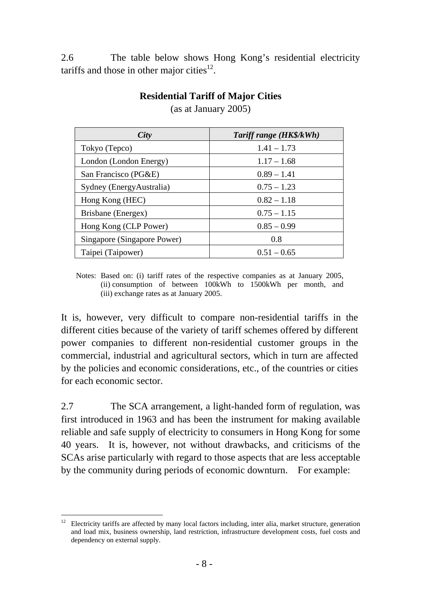2.6 The table below shows Hong Kong's residential electricity tariffs and those in other major cities<sup>12</sup>.

| City                        | Tariff range (HK\$/kWh) |
|-----------------------------|-------------------------|
| Tokyo (Tepco)               | $1.41 - 1.73$           |
| London (London Energy)      | $1.17 - 1.68$           |
| San Francisco (PG&E)        | $0.89 - 1.41$           |
| Sydney (Energy Australia)   | $0.75 - 1.23$           |
| Hong Kong (HEC)             | $0.82 - 1.18$           |
| Brisbane (Energex)          | $0.75 - 1.15$           |
| Hong Kong (CLP Power)       | $0.85 - 0.99$           |
| Singapore (Singapore Power) | 0.8                     |
| Taipei (Taipower)           | $0.51 - 0.65$           |

**Residential Tariff of Major Cities**  (as at January 2005)

Notes: Based on: (i) tariff rates of the respective companies as at January 2005, (ii) consumption of between 100kWh to 1500kWh per month, and

(iii) exchange rates as at January 2005.

 $\overline{a}$ 

It is, however, very difficult to compare non-residential tariffs in the different cities because of the variety of tariff schemes offered by different power companies to different non-residential customer groups in the commercial, industrial and agricultural sectors, which in turn are affected by the policies and economic considerations, etc., of the countries or cities for each economic sector.

2.7 The SCA arrangement, a light-handed form of regulation, was first introduced in 1963 and has been the instrument for making available reliable and safe supply of electricity to consumers in Hong Kong for some 40 years. It is, however, not without drawbacks, and criticisms of the SCAs arise particularly with regard to those aspects that are less acceptable by the community during periods of economic downturn. For example:

<sup>12</sup> Electricity tariffs are affected by many local factors including, inter alia, market structure, generation and load mix, business ownership, land restriction, infrastructure development costs, fuel costs and dependency on external supply.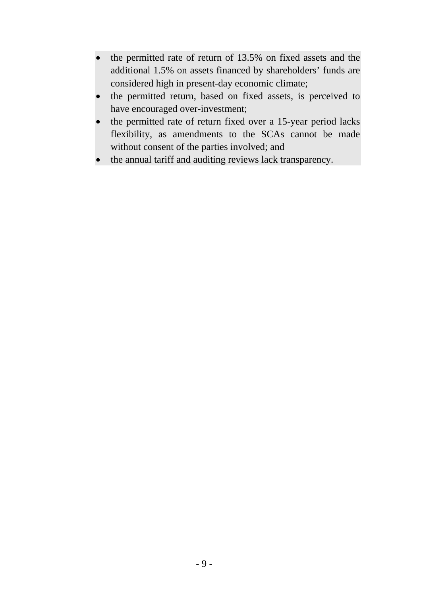- the permitted rate of return of 13.5% on fixed assets and the additional 1.5% on assets financed by shareholders' funds are considered high in present-day economic climate;
- the permitted return, based on fixed assets, is perceived to have encouraged over-investment;
- the permitted rate of return fixed over a 15-year period lacks flexibility, as amendments to the SCAs cannot be made without consent of the parties involved; and
- the annual tariff and auditing reviews lack transparency.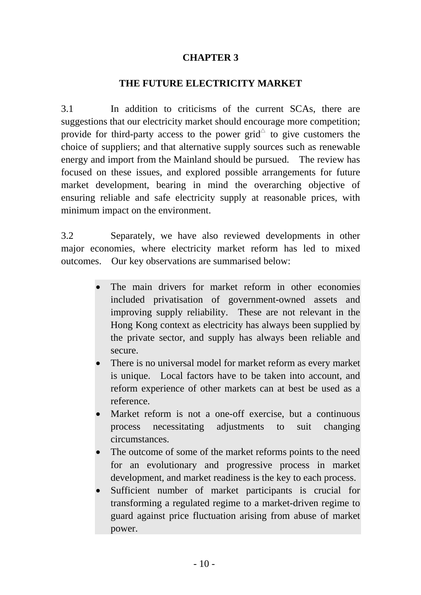### **CHAPTER 3**

#### **THE FUTURE ELECTRICITY MARKET**

3.1 In addition to criticisms of the current SCAs, there are suggestions that our electricity market should encourage more competition; provide for third-party access to the power grid<sup> $\triangle$ </sup> to give customers the choice of suppliers; and that alternative supply sources such as renewable energy and import from the Mainland should be pursued. The review has focused on these issues, and explored possible arrangements for future market development, bearing in mind the overarching objective of ensuring reliable and safe electricity supply at reasonable prices, with minimum impact on the environment.

3.2 Separately, we have also reviewed developments in other major economies, where electricity market reform has led to mixed outcomes. Our key observations are summarised below:

- The main drivers for market reform in other economies included privatisation of government-owned assets and improving supply reliability. These are not relevant in the Hong Kong context as electricity has always been supplied by the private sector, and supply has always been reliable and secure.
- There is no universal model for market reform as every market is unique. Local factors have to be taken into account, and reform experience of other markets can at best be used as a reference.
- Market reform is not a one-off exercise, but a continuous process necessitating adjustments to suit changing circumstances.
- The outcome of some of the market reforms points to the need for an evolutionary and progressive process in market development, and market readiness is the key to each process.
- Sufficient number of market participants is crucial for transforming a regulated regime to a market-driven regime to guard against price fluctuation arising from abuse of market power.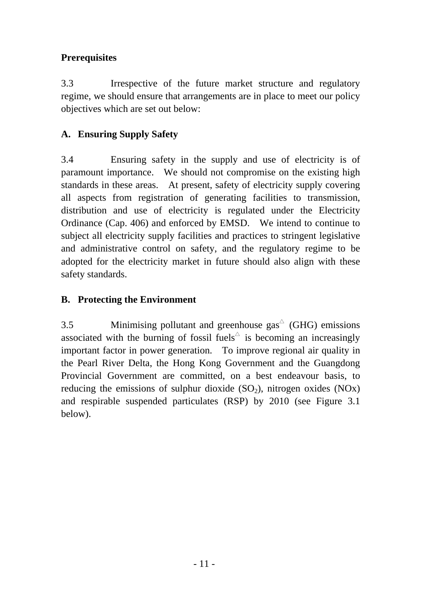## **Prerequisites**

3.3 Irrespective of the future market structure and regulatory regime, we should ensure that arrangements are in place to meet our policy objectives which are set out below:

## **A. Ensuring Supply Safety**

3.4 Ensuring safety in the supply and use of electricity is of paramount importance. We should not compromise on the existing high standards in these areas. At present, safety of electricity supply covering all aspects from registration of generating facilities to transmission, distribution and use of electricity is regulated under the Electricity Ordinance (Cap. 406) and enforced by EMSD. We intend to continue to subject all electricity supply facilities and practices to stringent legislative and administrative control on safety, and the regulatory regime to be adopted for the electricity market in future should also align with these safety standards.

### **B. Protecting the Environment**

3.5 Minimising pollutant and greenhouse  $\text{gas}^{\triangle}$  (GHG) emissions associated with the burning of fossil fuels<sup> $\triangle$ </sup> is becoming an increasingly important factor in power generation. To improve regional air quality in the Pearl River Delta, the Hong Kong Government and the Guangdong Provincial Government are committed, on a best endeavour basis, to reducing the emissions of sulphur dioxide  $(SO<sub>2</sub>)$ , nitrogen oxides  $(NOx)$ and respirable suspended particulates (RSP) by 2010 (see Figure 3.1 below).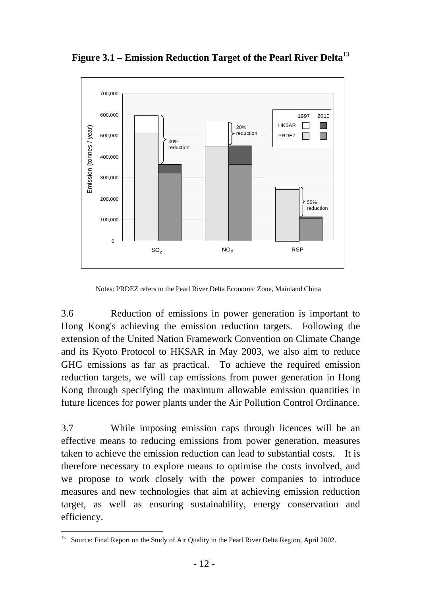

**Figure 3.1 – Emission Reduction Target of the Pearl River Delta**<sup>13</sup>

Notes: PRDEZ refers to the Pearl River Delta Economic Zone, Mainland China

3.6 Reduction of emissions in power generation is important to Hong Kong's achieving the emission reduction targets. Following the extension of the United Nation Framework Convention on Climate Change and its Kyoto Protocol to HKSAR in May 2003, we also aim to reduce GHG emissions as far as practical. To achieve the required emission reduction targets, we will cap emissions from power generation in Hong Kong through specifying the maximum allowable emission quantities in future licences for power plants under the Air Pollution Control Ordinance.

3.7 While imposing emission caps through licences will be an effective means to reducing emissions from power generation, measures taken to achieve the emission reduction can lead to substantial costs. It is therefore necessary to explore means to optimise the costs involved, and we propose to work closely with the power companies to introduce measures and new technologies that aim at achieving emission reduction target, as well as ensuring sustainability, energy conservation and efficiency.

 $\overline{a}$ <sup>13</sup> Source: Final Report on the Study of Air Quality in the Pearl River Delta Region, April 2002.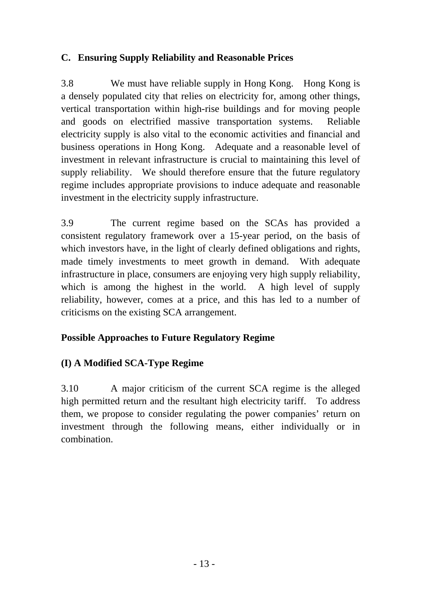## **C. Ensuring Supply Reliability and Reasonable Prices**

3.8 We must have reliable supply in Hong Kong. Hong Kong is a densely populated city that relies on electricity for, among other things, vertical transportation within high-rise buildings and for moving people and goods on electrified massive transportation systems. Reliable electricity supply is also vital to the economic activities and financial and business operations in Hong Kong. Adequate and a reasonable level of investment in relevant infrastructure is crucial to maintaining this level of supply reliability. We should therefore ensure that the future regulatory regime includes appropriate provisions to induce adequate and reasonable investment in the electricity supply infrastructure.

3.9 The current regime based on the SCAs has provided a consistent regulatory framework over a 15-year period, on the basis of which investors have, in the light of clearly defined obligations and rights, made timely investments to meet growth in demand. With adequate infrastructure in place, consumers are enjoying very high supply reliability, which is among the highest in the world. A high level of supply reliability, however, comes at a price, and this has led to a number of criticisms on the existing SCA arrangement.

## **Possible Approaches to Future Regulatory Regime**

## **(I) A Modified SCA-Type Regime**

3.10 A major criticism of the current SCA regime is the alleged high permitted return and the resultant high electricity tariff. To address them, we propose to consider regulating the power companies' return on investment through the following means, either individually or in combination.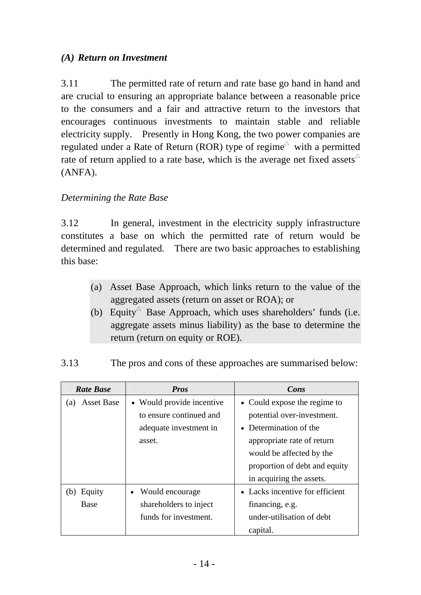## *(A) Return on Investment*

3.11 The permitted rate of return and rate base go hand in hand and are crucial to ensuring an appropriate balance between a reasonable price to the consumers and a fair and attractive return to the investors that encourages continuous investments to maintain stable and reliable electricity supply. Presently in Hong Kong, the two power companies are regulated under a Rate of Return (ROR) type of regime<sup> $\triangle$ </sup> with a permitted rate of return applied to a rate base, which is the average net fixed assets  $\triangle$ (ANFA).

### *Determining the Rate Base*

3.12 In general, investment in the electricity supply infrastructure constitutes a base on which the permitted rate of return would be determined and regulated. There are two basic approaches to establishing this base:

- (a) Asset Base Approach, which links return to the value of the aggregated assets (return on asset or ROA); or
- (b) Equity<sup> $\triangle$ </sup> Base Approach, which uses shareholders' funds (i.e. aggregate assets minus liability) as the base to determine the return (return on equity or ROE).

| <b>Rate Base</b>         | <b>Pros</b>               | Cons                            |
|--------------------------|---------------------------|---------------------------------|
| <b>Asset Base</b><br>(a) | • Would provide incentive | • Could expose the regime to    |
|                          | to ensure continued and   | potential over-investment.      |
|                          | adequate investment in    | • Determination of the          |
|                          | asset.                    | appropriate rate of return      |
|                          |                           | would be affected by the        |
|                          |                           | proportion of debt and equity   |
|                          |                           | in acquiring the assets.        |
| Equity<br>(b)            | Would encourage           | • Lacks incentive for efficient |
| <b>Base</b>              | shareholders to inject    | financing, e.g.                 |
|                          | funds for investment.     | under-utilisation of debt       |
|                          |                           | capital.                        |

3.13 The pros and cons of these approaches are summarised below: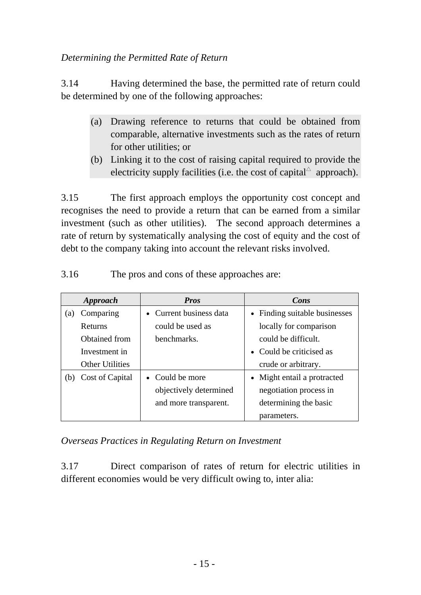### *Determining the Permitted Rate of Return*

3.14 Having determined the base, the permitted rate of return could be determined by one of the following approaches:

- (a) Drawing reference to returns that could be obtained from comparable, alternative investments such as the rates of return for other utilities; or
- (b) Linking it to the cost of raising capital required to provide the electricity supply facilities (i.e. the cost of capital  $^{\triangle}$  approach).

3.15 The first approach employs the opportunity cost concept and recognises the need to provide a return that can be earned from a similar investment (such as other utilities). The second approach determines a rate of return by systematically analysing the cost of equity and the cost of debt to the company taking into account the relevant risks involved.

| <b>Approach</b>        | <b>Pros</b>             | Cons                          |
|------------------------|-------------------------|-------------------------------|
| Comparing<br>(a)       | • Current business data | • Finding suitable businesses |
| Returns                | could be used as        | locally for comparison        |
| Obtained from          | benchmarks.             | could be difficult.           |
| Investment in          |                         | • Could be criticised as      |
| <b>Other Utilities</b> |                         | crude or arbitrary.           |
| Cost of Capital<br>(b) | • Could be more         | • Might entail a protracted   |
|                        | objectively determined  | negotiation process in        |
|                        | and more transparent.   | determining the basic         |
|                        |                         | parameters.                   |

3.16 The pros and cons of these approaches are:

*Overseas Practices in Regulating Return on Investment* 

3.17 Direct comparison of rates of return for electric utilities in different economies would be very difficult owing to, inter alia: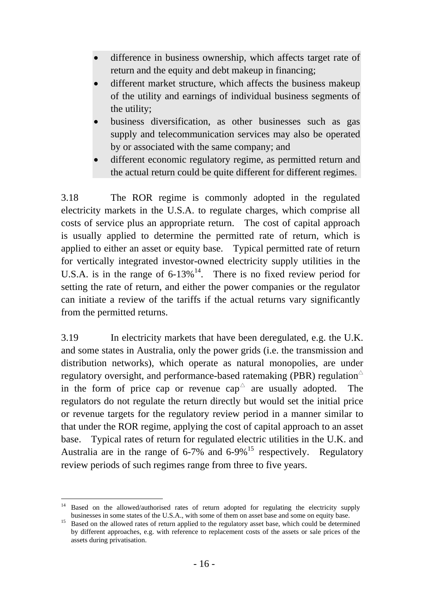- difference in business ownership, which affects target rate of return and the equity and debt makeup in financing;
- different market structure, which affects the business makeup of the utility and earnings of individual business segments of the utility;
- business diversification, as other businesses such as gas supply and telecommunication services may also be operated by or associated with the same company; and
- different economic regulatory regime, as permitted return and the actual return could be quite different for different regimes.

3.18 The ROR regime is commonly adopted in the regulated electricity markets in the U.S.A. to regulate charges, which comprise all costs of service plus an appropriate return. The cost of capital approach is usually applied to determine the permitted rate of return, which is applied to either an asset or equity base. Typical permitted rate of return for vertically integrated investor-owned electricity supply utilities in the U.S.A. is in the range of  $6-13\%$ <sup>14</sup>. There is no fixed review period for setting the rate of return, and either the power companies or the regulator can initiate a review of the tariffs if the actual returns vary significantly from the permitted returns.

3.19 In electricity markets that have been deregulated, e.g. the U.K. and some states in Australia, only the power grids (i.e. the transmission and distribution networks), which operate as natural monopolies, are under regulatory oversight, and performance-based ratemaking (PBR) regulation  $\triangle$ in the form of price cap or revenue cap<sup> $\triangle$ </sup> are usually adopted. The regulators do not regulate the return directly but would set the initial price or revenue targets for the regulatory review period in a manner similar to that under the ROR regime, applying the cost of capital approach to an asset base. Typical rates of return for regulated electric utilities in the U.K. and Australia are in the range of  $6-7\%$  and  $6-9\%$ <sup>15</sup> respectively. Regulatory review periods of such regimes range from three to five years.

l <sup>14</sup> Based on the allowed/authorised rates of return adopted for regulating the electricity supply businesses in some states of the U.S.A., with some of them on asset base and some on equity base. 15 Based on the allowed rates of return applied to the regulatory asset base, which could be determined

by different approaches, e.g. with reference to replacement costs of the assets or sale prices of the assets during privatisation.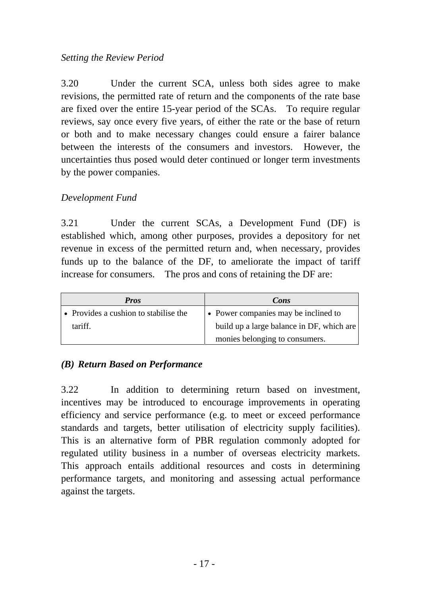### *Setting the Review Period*

3.20 Under the current SCA, unless both sides agree to make revisions, the permitted rate of return and the components of the rate base are fixed over the entire 15-year period of the SCAs. To require regular reviews, say once every five years, of either the rate or the base of return or both and to make necessary changes could ensure a fairer balance between the interests of the consumers and investors. However, the uncertainties thus posed would deter continued or longer term investments by the power companies.

### *Development Fund*

3.21 Under the current SCAs, a Development Fund (DF) is established which, among other purposes, provides a depository for net revenue in excess of the permitted return and, when necessary, provides funds up to the balance of the DF, to ameliorate the impact of tariff increase for consumers. The pros and cons of retaining the DF are:

| <b>Pros</b>                           | Cons                                      |
|---------------------------------------|-------------------------------------------|
| • Provides a cushion to stabilise the | • Power companies may be inclined to      |
| tariff.                               | build up a large balance in DF, which are |
|                                       | monies belonging to consumers.            |

### *(B) Return Based on Performance*

3.22 In addition to determining return based on investment, incentives may be introduced to encourage improvements in operating efficiency and service performance (e.g. to meet or exceed performance standards and targets, better utilisation of electricity supply facilities). This is an alternative form of PBR regulation commonly adopted for regulated utility business in a number of overseas electricity markets. This approach entails additional resources and costs in determining performance targets, and monitoring and assessing actual performance against the targets.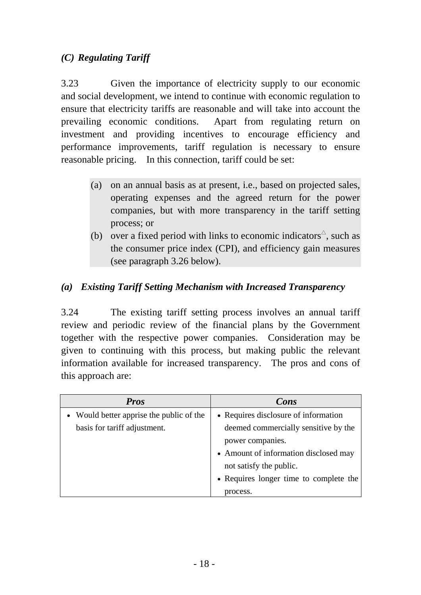## *(C) Regulating Tariff*

3.23 Given the importance of electricity supply to our economic and social development, we intend to continue with economic regulation to ensure that electricity tariffs are reasonable and will take into account the prevailing economic conditions. Apart from regulating return on investment and providing incentives to encourage efficiency and performance improvements, tariff regulation is necessary to ensure reasonable pricing. In this connection, tariff could be set:

- (a) on an annual basis as at present, i.e., based on projected sales, operating expenses and the agreed return for the power companies, but with more transparency in the tariff setting process; or
- (b) over a fixed period with links to economic indicators<sup> $\triangle$ </sup>, such as the consumer price index (CPI), and efficiency gain measures (see paragraph 3.26 below).

### *(a) Existing Tariff Setting Mechanism with Increased Transparency*

3.24 The existing tariff setting process involves an annual tariff review and periodic review of the financial plans by the Government together with the respective power companies. Consideration may be given to continuing with this process, but making public the relevant information available for increased transparency. The pros and cons of this approach are:

| <b>Pros</b>                              | Cons                                   |
|------------------------------------------|----------------------------------------|
| • Would better apprise the public of the | • Requires disclosure of information   |
| basis for tariff adjustment.             | deemed commercially sensitive by the   |
|                                          | power companies.                       |
|                                          | • Amount of information disclosed may  |
|                                          | not satisfy the public.                |
|                                          | • Requires longer time to complete the |
|                                          | process.                               |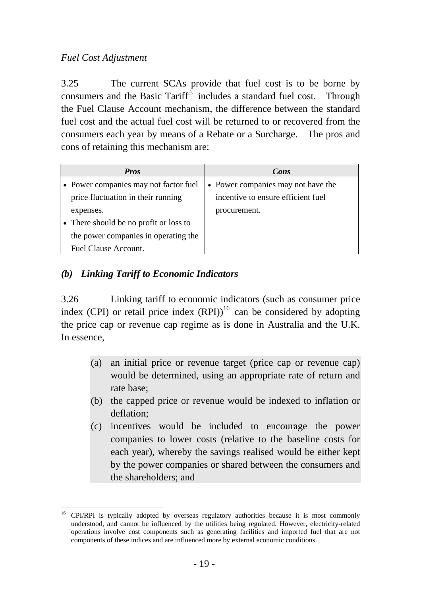## *Fuel Cost Adjustment*

3.25 The current SCAs provide that fuel cost is to be borne by consumers and the Basic Tariff $\triangle$  includes a standard fuel cost. Through the Fuel Clause Account mechanism, the difference between the standard fuel cost and the actual fuel cost will be returned to or recovered from the consumers each year by means of a Rebate or a Surcharge. The pros and cons of retaining this mechanism are:

| <b>Pros</b>                            | Cons                               |
|----------------------------------------|------------------------------------|
| • Power companies may not factor fuel  | • Power companies may not have the |
| price fluctuation in their running     | incentive to ensure efficient fuel |
| expenses.                              | procurement.                       |
| • There should be no profit or loss to |                                    |
| the power companies in operating the   |                                    |
| Fuel Clause Account.                   |                                    |

## *(b) Linking Tariff to Economic Indicators*

3.26 Linking tariff to economic indicators (such as consumer price index (CPI) or retail price index  $(RPI)$ <sup>16</sup> can be considered by adopting the price cap or revenue cap regime as is done in Australia and the U.K. In essence,

- (a) an initial price or revenue target (price cap or revenue cap) would be determined, using an appropriate rate of return and rate base;
- (b) the capped price or revenue would be indexed to inflation or deflation;
- (c) incentives would be included to encourage the power companies to lower costs (relative to the baseline costs for each year), whereby the savings realised would be either kept by the power companies or shared between the consumers and the shareholders; and

 $\overline{a}$ <sup>16</sup> CPI/RPI is typically adopted by overseas regulatory authorities because it is most commonly understood, and cannot be influenced by the utilities being regulated. However, electricity-related operations involve cost components such as generating facilities and imported fuel that are not components of these indices and are influenced more by external economic conditions.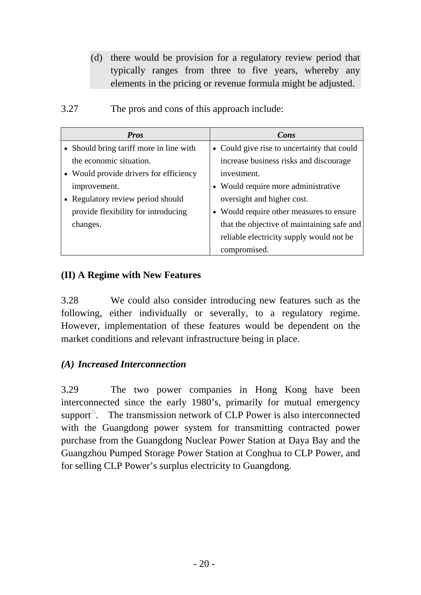(d) there would be provision for a regulatory review period that typically ranges from three to five years, whereby any elements in the pricing or revenue formula might be adjusted.

| <b>Pros</b>                             | Cons                                        |
|-----------------------------------------|---------------------------------------------|
| • Should bring tariff more in line with | • Could give rise to uncertainty that could |
| the economic situation.                 | increase business risks and discourage      |
| • Would provide drivers for efficiency  | investment.                                 |
| improvement.                            | • Would require more administrative         |
| • Regulatory review period should       | oversight and higher cost.                  |
| provide flexibility for introducing     | • Would require other measures to ensure    |
| changes.                                | that the objective of maintaining safe and  |
|                                         | reliable electricity supply would not be    |
|                                         | compromised.                                |

3.27 The pros and cons of this approach include:

### **(II) A Regime with New Features**

3.28 We could also consider introducing new features such as the following, either individually or severally, to a regulatory regime. However, implementation of these features would be dependent on the market conditions and relevant infrastructure being in place.

### *(A) Increased Interconnection*

3.29 The two power companies in Hong Kong have been interconnected since the early 1980's, primarily for mutual emergency support $\hat{O}$ . The transmission network of CLP Power is also interconnected with the Guangdong power system for transmitting contracted power purchase from the Guangdong Nuclear Power Station at Daya Bay and the Guangzhou Pumped Storage Power Station at Conghua to CLP Power, and for selling CLP Power's surplus electricity to Guangdong.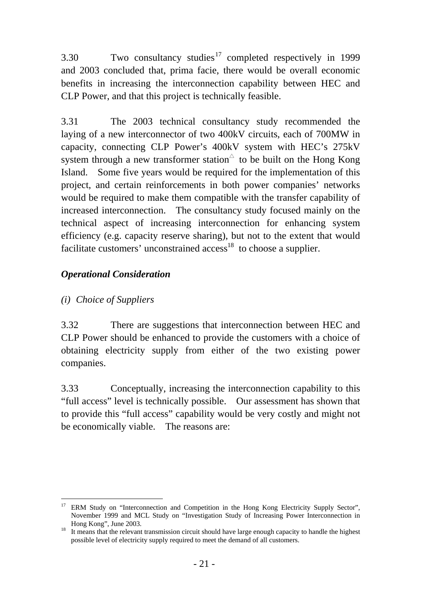3.30 Two consultancy studies<sup>17</sup> completed respectively in 1999 and 2003 concluded that, prima facie, there would be overall economic benefits in increasing the interconnection capability between HEC and CLP Power, and that this project is technically feasible.

3.31 The 2003 technical consultancy study recommended the laying of a new interconnector of two 400kV circuits, each of 700MW in capacity, connecting CLP Power's 400kV system with HEC's 275kV system through a new transformer station  $\triangle$  to be built on the Hong Kong Island. Some five years would be required for the implementation of this project, and certain reinforcements in both power companies' networks would be required to make them compatible with the transfer capability of increased interconnection. The consultancy study focused mainly on the technical aspect of increasing interconnection for enhancing system efficiency (e.g. capacity reserve sharing), but not to the extent that would facilitate customers' unconstrained  $\alpha$ cess<sup>18</sup> to choose a supplier.

## *Operational Consideration*

## *(i) Choice of Suppliers*

3.32 There are suggestions that interconnection between HEC and CLP Power should be enhanced to provide the customers with a choice of obtaining electricity supply from either of the two existing power companies.

3.33 Conceptually, increasing the interconnection capability to this "full access" level is technically possible. Our assessment has shown that to provide this "full access" capability would be very costly and might not be economically viable. The reasons are:

l 17 ERM Study on "Interconnection and Competition in the Hong Kong Electricity Supply Sector", November 1999 and MCL Study on "Investigation Study of Increasing Power Interconnection in

<sup>&</sup>lt;sup>18</sup> It means that the relevant transmission circuit should have large enough capacity to handle the highest possible level of electricity supply required to meet the demand of all customers.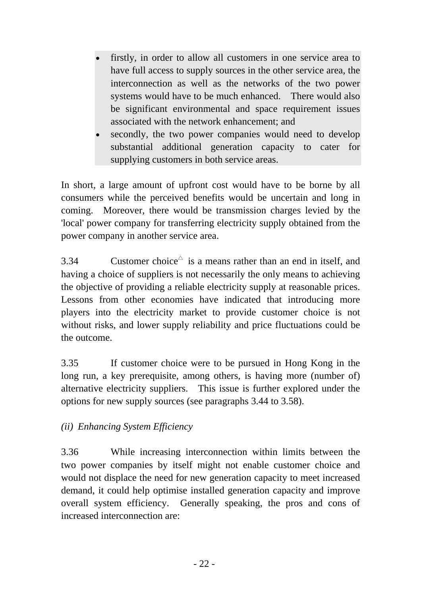- firstly, in order to allow all customers in one service area to have full access to supply sources in the other service area, the interconnection as well as the networks of the two power systems would have to be much enhanced. There would also be significant environmental and space requirement issues associated with the network enhancement; and
- secondly, the two power companies would need to develop substantial additional generation capacity to cater for supplying customers in both service areas.

In short, a large amount of upfront cost would have to be borne by all consumers while the perceived benefits would be uncertain and long in coming. Moreover, there would be transmission charges levied by the 'local' power company for transferring electricity supply obtained from the power company in another service area.

3.34 Customer choice  $\Delta$  is a means rather than an end in itself, and having a choice of suppliers is not necessarily the only means to achieving the objective of providing a reliable electricity supply at reasonable prices. Lessons from other economies have indicated that introducing more players into the electricity market to provide customer choice is not without risks, and lower supply reliability and price fluctuations could be the outcome.

3.35 If customer choice were to be pursued in Hong Kong in the long run, a key prerequisite, among others, is having more (number of) alternative electricity suppliers. This issue is further explored under the options for new supply sources (see paragraphs 3.44 to 3.58).

## *(ii) Enhancing System Efficiency*

3.36 While increasing interconnection within limits between the two power companies by itself might not enable customer choice and would not displace the need for new generation capacity to meet increased demand, it could help optimise installed generation capacity and improve overall system efficiency. Generally speaking, the pros and cons of increased interconnection are: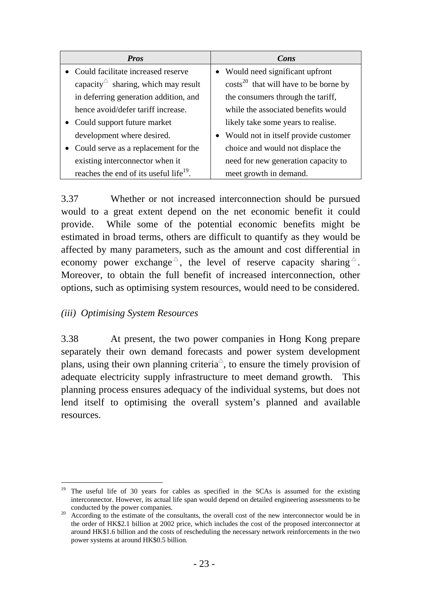| <b>Pros</b>                                        | Cons                                        |
|----------------------------------------------------|---------------------------------------------|
| Could facilitate increased reserve                 | • Would need significant upfront            |
| capacity $\triangle$ sharing, which may result     | $\cos(s^{20}$ that will have to be borne by |
| in deferring generation addition, and              | the consumers through the tariff,           |
| hence avoid/defer tariff increase.                 | while the associated benefits would         |
| • Could support future market                      | likely take some years to realise.          |
| development where desired.                         | • Would not in itself provide customer      |
| • Could serve as a replacement for the             | choice and would not displace the           |
| existing interconnector when it                    | need for new generation capacity to         |
| reaches the end of its useful life <sup>19</sup> . | meet growth in demand.                      |

3.37 Whether or not increased interconnection should be pursued would to a great extent depend on the net economic benefit it could provide. While some of the potential economic benefits might be estimated in broad terms, others are difficult to quantify as they would be affected by many parameters, such as the amount and cost differential in economy power exchange  $\sim$ , the level of reserve capacity sharing  $\sim$ . Moreover, to obtain the full benefit of increased interconnection, other options, such as optimising system resources, would need to be considered.

### *(iii) Optimising System Resources*

3.38 At present, the two power companies in Hong Kong prepare separately their own demand forecasts and power system development plans, using their own planning criteria<sup> $\triangle$ </sup>, to ensure the timely provision of adequate electricity supply infrastructure to meet demand growth. This planning process ensures adequacy of the individual systems, but does not lend itself to optimising the overall system's planned and available resources.

 $\overline{a}$ 19 The useful life of 30 years for cables as specified in the SCAs is assumed for the existing interconnector. However, its actual life span would depend on detailed engineering assessments to be

conducted by the power companies.<br><sup>20</sup> According to the estimate of the consultants, the overall cost of the new interconnector would be in the order of HK\$2.1 billion at 2002 price, which includes the cost of the proposed interconnector at around HK\$1.6 billion and the costs of rescheduling the necessary network reinforcements in the two power systems at around HK\$0.5 billion.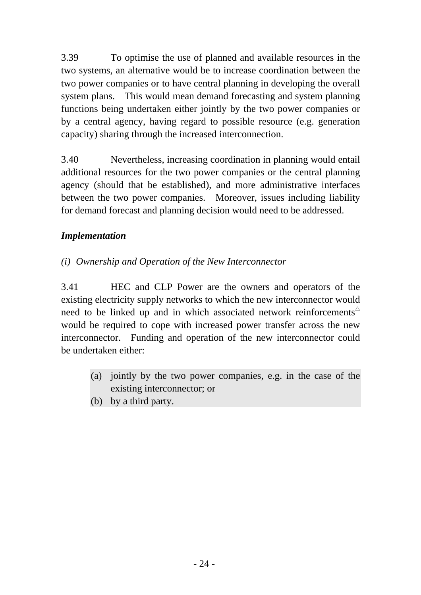3.39 To optimise the use of planned and available resources in the two systems, an alternative would be to increase coordination between the two power companies or to have central planning in developing the overall system plans. This would mean demand forecasting and system planning functions being undertaken either jointly by the two power companies or by a central agency, having regard to possible resource (e.g. generation capacity) sharing through the increased interconnection.

3.40 Nevertheless, increasing coordination in planning would entail additional resources for the two power companies or the central planning agency (should that be established), and more administrative interfaces between the two power companies. Moreover, issues including liability for demand forecast and planning decision would need to be addressed.

## *Implementation*

### *(i) Ownership and Operation of the New Interconnector*

3.41 HEC and CLP Power are the owners and operators of the existing electricity supply networks to which the new interconnector would need to be linked up and in which associated network reinforcements  $\triangle$ would be required to cope with increased power transfer across the new interconnector. Funding and operation of the new interconnector could be undertaken either:

- (a) jointly by the two power companies, e.g. in the case of the existing interconnector; or
- (b) by a third party.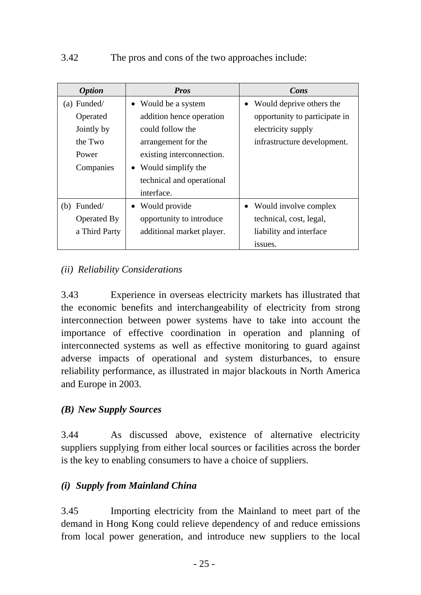| <b>Option</b>  | <b>Pros</b>               | Cons                          |
|----------------|---------------------------|-------------------------------|
| $(a)$ Funded/  | • Would be a system       | Would deprive others the      |
| Operated       | addition hence operation  | opportunity to participate in |
| Jointly by     | could follow the          | electricity supply            |
| the Two        | arrangement for the       | infrastructure development.   |
| Power          | existing interconnection. |                               |
| Companies      | • Would simplify the      |                               |
|                | technical and operational |                               |
|                | interface.                |                               |
| Funded/<br>(b) | • Would provide           | Would involve complex         |
| Operated By    | opportunity to introduce  | technical, cost, legal,       |
| a Third Party  | additional market player. | liability and interface       |
|                |                           | issues.                       |

## *(ii) Reliability Considerations*

3.43 Experience in overseas electricity markets has illustrated that the economic benefits and interchangeability of electricity from strong interconnection between power systems have to take into account the importance of effective coordination in operation and planning of interconnected systems as well as effective monitoring to guard against adverse impacts of operational and system disturbances, to ensure reliability performance, as illustrated in major blackouts in North America and Europe in 2003.

### *(B) New Supply Sources*

3.44 As discussed above, existence of alternative electricity suppliers supplying from either local sources or facilities across the border is the key to enabling consumers to have a choice of suppliers.

### *(i) Supply from Mainland China*

3.45 Importing electricity from the Mainland to meet part of the demand in Hong Kong could relieve dependency of and reduce emissions from local power generation, and introduce new suppliers to the local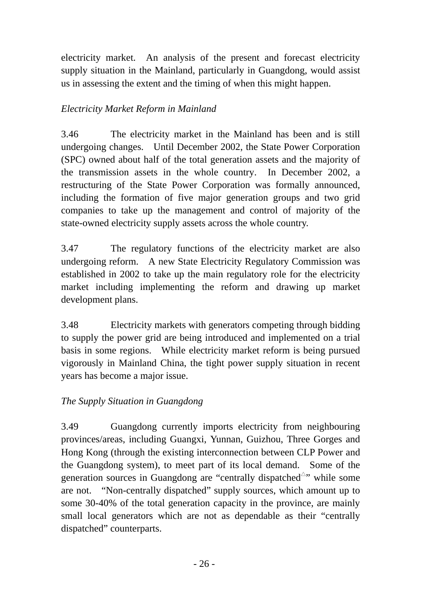electricity market. An analysis of the present and forecast electricity supply situation in the Mainland, particularly in Guangdong, would assist us in assessing the extent and the timing of when this might happen.

### *Electricity Market Reform in Mainland*

3.46 The electricity market in the Mainland has been and is still undergoing changes. Until December 2002, the State Power Corporation (SPC) owned about half of the total generation assets and the majority of the transmission assets in the whole country. In December 2002, a restructuring of the State Power Corporation was formally announced, including the formation of five major generation groups and two grid companies to take up the management and control of majority of the state-owned electricity supply assets across the whole country.

3.47 The regulatory functions of the electricity market are also undergoing reform. A new State Electricity Regulatory Commission was established in 2002 to take up the main regulatory role for the electricity market including implementing the reform and drawing up market development plans.

3.48 Electricity markets with generators competing through bidding to supply the power grid are being introduced and implemented on a trial basis in some regions. While electricity market reform is being pursued vigorously in Mainland China, the tight power supply situation in recent years has become a major issue.

### *The Supply Situation in Guangdong*

3.49 Guangdong currently imports electricity from neighbouring provinces/areas, including Guangxi, Yunnan, Guizhou, Three Gorges and Hong Kong (through the existing interconnection between CLP Power and the Guangdong system), to meet part of its local demand. Some of the generation sources in Guangdong are "centrally dispatched $\triangle$ " while some are not. "Non-centrally dispatched" supply sources, which amount up to some 30-40% of the total generation capacity in the province, are mainly small local generators which are not as dependable as their "centrally dispatched" counterparts.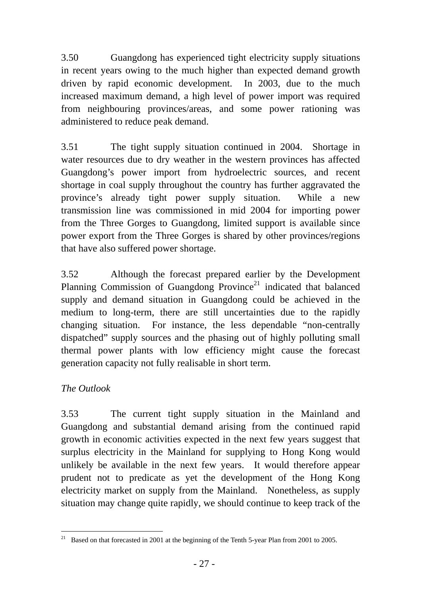3.50 Guangdong has experienced tight electricity supply situations in recent years owing to the much higher than expected demand growth driven by rapid economic development. In 2003, due to the much increased maximum demand, a high level of power import was required from neighbouring provinces/areas, and some power rationing was administered to reduce peak demand.

3.51 The tight supply situation continued in 2004. Shortage in water resources due to dry weather in the western provinces has affected Guangdong's power import from hydroelectric sources, and recent shortage in coal supply throughout the country has further aggravated the province's already tight power supply situation. While a new transmission line was commissioned in mid 2004 for importing power from the Three Gorges to Guangdong, limited support is available since power export from the Three Gorges is shared by other provinces/regions that have also suffered power shortage.

3.52 Although the forecast prepared earlier by the Development Planning Commission of Guangdong Province<sup>21</sup> indicated that balanced supply and demand situation in Guangdong could be achieved in the medium to long-term, there are still uncertainties due to the rapidly changing situation. For instance, the less dependable "non-centrally dispatched" supply sources and the phasing out of highly polluting small thermal power plants with low efficiency might cause the forecast generation capacity not fully realisable in short term.

### *The Outlook*

3.53 The current tight supply situation in the Mainland and Guangdong and substantial demand arising from the continued rapid growth in economic activities expected in the next few years suggest that surplus electricity in the Mainland for supplying to Hong Kong would unlikely be available in the next few years. It would therefore appear prudent not to predicate as yet the development of the Hong Kong electricity market on supply from the Mainland. Nonetheless, as supply situation may change quite rapidly, we should continue to keep track of the

 $\overline{a}$ <sup>21</sup> Based on that forecasted in 2001 at the beginning of the Tenth 5-year Plan from 2001 to 2005.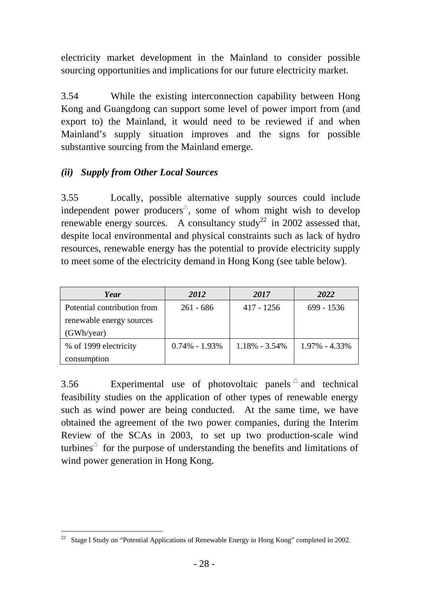electricity market development in the Mainland to consider possible sourcing opportunities and implications for our future electricity market.

3.54 While the existing interconnection capability between Hong Kong and Guangdong can support some level of power import from (and export to) the Mainland, it would need to be reviewed if and when Mainland's supply situation improves and the signs for possible substantive sourcing from the Mainland emerge.

## *(ii) Supply from Other Local Sources*

3.55 Locally, possible alternative supply sources could include independent power producers<sup> $\triangle$ </sup>, some of whom might wish to develop renewable energy sources. A consultancy study<sup>22</sup> in 2002 assessed that, despite local environmental and physical constraints such as lack of hydro resources, renewable energy has the potential to provide electricity supply to meet some of the electricity demand in Hong Kong (see table below).

| Year                        | 2012              | 2017              | 2022              |
|-----------------------------|-------------------|-------------------|-------------------|
| Potential contribution from | $261 - 686$       | 417 - 1256        | 699 - 1536        |
| renewable energy sources    |                   |                   |                   |
| (GWh/year)                  |                   |                   |                   |
| % of 1999 electricity       | $0.74\% - 1.93\%$ | $1.18\% - 3.54\%$ | $1.97\% - 4.33\%$ |
| consumption                 |                   |                   |                   |

3.56 Experimental use of photovoltaic panels  $\triangle$  and technical feasibility studies on the application of other types of renewable energy such as wind power are being conducted. At the same time, we have obtained the agreement of the two power companies, during the Interim Review of the SCAs in 2003, to set up two production-scale wind turbines $\hat{\ }$  for the purpose of understanding the benefits and limitations of wind power generation in Hong Kong.

 $\overline{a}$ <sup>22</sup> Stage I Study on "Potential Applications of Renewable Energy in Hong Kong" completed in 2002.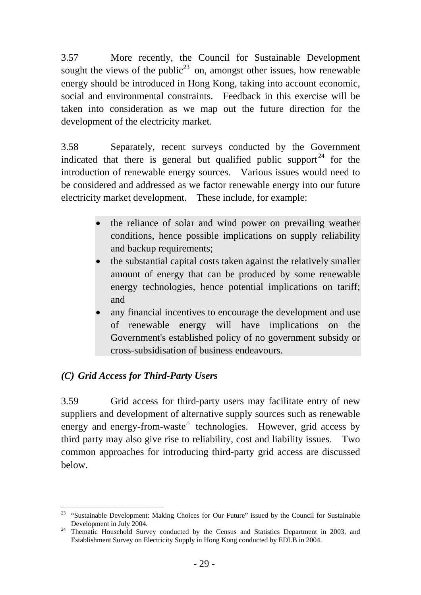3.57 More recently, the Council for Sustainable Development sought the views of the public<sup>23</sup> on, amongst other issues, how renewable energy should be introduced in Hong Kong, taking into account economic, social and environmental constraints. Feedback in this exercise will be taken into consideration as we map out the future direction for the development of the electricity market.

3.58 Separately, recent surveys conducted by the Government indicated that there is general but qualified public support  $24$  for the introduction of renewable energy sources. Various issues would need to be considered and addressed as we factor renewable energy into our future electricity market development. These include, for example:

- the reliance of solar and wind power on prevailing weather conditions, hence possible implications on supply reliability and backup requirements;
- the substantial capital costs taken against the relatively smaller amount of energy that can be produced by some renewable energy technologies, hence potential implications on tariff; and
- any financial incentives to encourage the development and use of renewable energy will have implications on the Government's established policy of no government subsidy or cross-subsidisation of business endeavours.

## *(C) Grid Access for Third-Party Users*

 $\overline{a}$ 

3.59 Grid access for third-party users may facilitate entry of new suppliers and development of alternative supply sources such as renewable energy and energy-from-waste technologies. However, grid access by third party may also give rise to reliability, cost and liability issues. Two common approaches for introducing third-party grid access are discussed below.

<sup>&</sup>lt;sup>23</sup> "Sustainable Development: Making Choices for Our Future" issued by the Council for Sustainable

Development in July 2004. 24 Thematic Household Survey conducted by the Census and Statistics Department in 2003, and Establishment Survey on Electricity Supply in Hong Kong conducted by EDLB in 2004.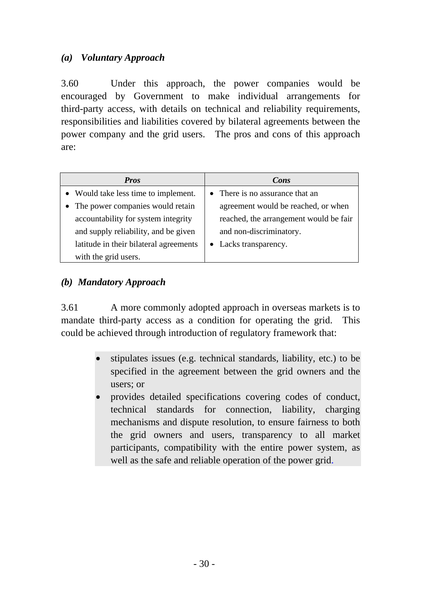## *(a) Voluntary Approach*

3.60 Under this approach, the power companies would be encouraged by Government to make individual arrangements for third-party access, with details on technical and reliability requirements, responsibilities and liabilities covered by bilateral agreements between the power company and the grid users. The pros and cons of this approach are:

| <b>Pros</b>                            | Cons                                   |
|----------------------------------------|----------------------------------------|
| • Would take less time to implement.   | • There is no assurance that an        |
| • The power companies would retain     | agreement would be reached, or when    |
| accountability for system integrity    | reached, the arrangement would be fair |
| and supply reliability, and be given   | and non-discriminatory.                |
| latitude in their bilateral agreements | • Lacks transparency.                  |
| with the grid users.                   |                                        |

### *(b) Mandatory Approach*

3.61 A more commonly adopted approach in overseas markets is to mandate third-party access as a condition for operating the grid. This could be achieved through introduction of regulatory framework that:

- stipulates issues (e.g. technical standards, liability, etc.) to be specified in the agreement between the grid owners and the users; or
- provides detailed specifications covering codes of conduct, technical standards for connection, liability, charging mechanisms and dispute resolution, to ensure fairness to both the grid owners and users, transparency to all market participants, compatibility with the entire power system, as well as the safe and reliable operation of the power grid.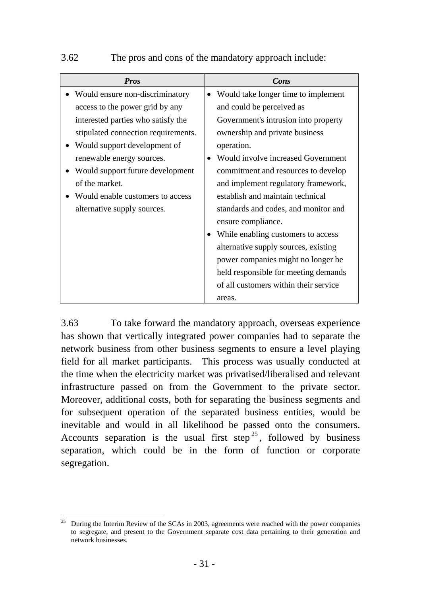#### 3.62 The pros and cons of the mandatory approach include:

| <b>Pros</b>                         | Cons                                             |
|-------------------------------------|--------------------------------------------------|
| Would ensure non-discriminatory     | Would take longer time to implement<br>$\bullet$ |
| access to the power grid by any     | and could be perceived as                        |
| interested parties who satisfy the  | Government's intrusion into property             |
| stipulated connection requirements. | ownership and private business                   |
| Would support development of        | operation.                                       |
| renewable energy sources.           | Would involve increased Government               |
| Would support future development    | commitment and resources to develop              |
| of the market.                      | and implement regulatory framework,              |
| Would enable customers to access    | establish and maintain technical                 |
| alternative supply sources.         | standards and codes, and monitor and             |
|                                     | ensure compliance.                               |
|                                     | While enabling customers to access<br>$\bullet$  |
|                                     | alternative supply sources, existing             |
|                                     | power companies might no longer be               |
|                                     | held responsible for meeting demands             |
|                                     | of all customers within their service            |
|                                     | areas.                                           |

3.63 To take forward the mandatory approach, overseas experience has shown that vertically integrated power companies had to separate the network business from other business segments to ensure a level playing field for all market participants. This process was usually conducted at the time when the electricity market was privatised/liberalised and relevant infrastructure passed on from the Government to the private sector. Moreover, additional costs, both for separating the business segments and for subsequent operation of the separated business entities, would be inevitable and would in all likelihood be passed onto the consumers. Accounts separation is the usual first step<sup>25</sup>, followed by business separation, which could be in the form of function or corporate segregation.

 $\overline{a}$ 25 During the Interim Review of the SCAs in 2003, agreements were reached with the power companies to segregate, and present to the Government separate cost data pertaining to their generation and network businesses.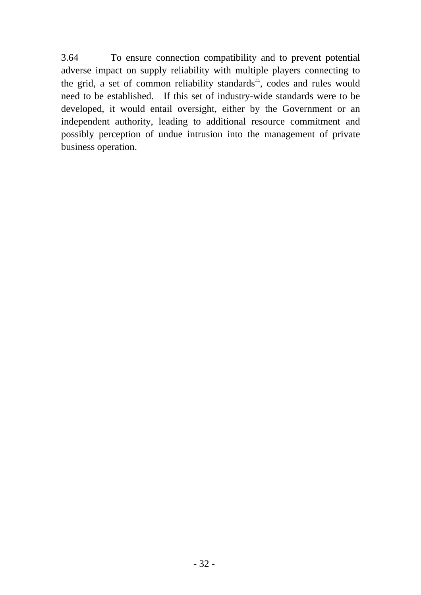3.64 To ensure connection compatibility and to prevent potential adverse impact on supply reliability with multiple players connecting to the grid, a set of common reliability standards<sup> $\triangle$ </sup>, codes and rules would need to be established. If this set of industry-wide standards were to be developed, it would entail oversight, either by the Government or an independent authority, leading to additional resource commitment and possibly perception of undue intrusion into the management of private business operation.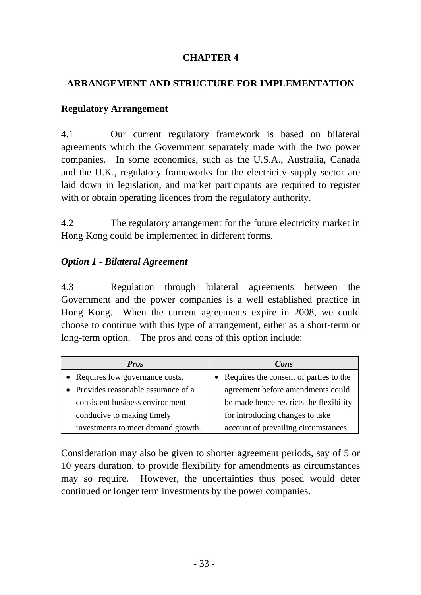## **CHAPTER 4**

### **ARRANGEMENT AND STRUCTURE FOR IMPLEMENTATION**

#### **Regulatory Arrangement**

4.1 Our current regulatory framework is based on bilateral agreements which the Government separately made with the two power companies. In some economies, such as the U.S.A., Australia, Canada and the U.K., regulatory frameworks for the electricity supply sector are laid down in legislation, and market participants are required to register with or obtain operating licences from the regulatory authority.

4.2 The regulatory arrangement for the future electricity market in Hong Kong could be implemented in different forms.

#### *Option 1* **-** *Bilateral Agreement*

4.3 Regulation through bilateral agreements between the Government and the power companies is a well established practice in Hong Kong. When the current agreements expire in 2008, we could choose to continue with this type of arrangement, either as a short-term or long-term option. The pros and cons of this option include:

| <b>Pros</b>                          | Cons                                     |
|--------------------------------------|------------------------------------------|
| • Requires low governance costs.     | • Requires the consent of parties to the |
| • Provides reasonable assurance of a | agreement before amendments could        |
| consistent business environment      | be made hence restricts the flexibility  |
| conducive to making timely           | for introducing changes to take          |
| investments to meet demand growth.   | account of prevailing circumstances.     |

Consideration may also be given to shorter agreement periods, say of 5 or 10 years duration, to provide flexibility for amendments as circumstances may so require. However, the uncertainties thus posed would deter continued or longer term investments by the power companies.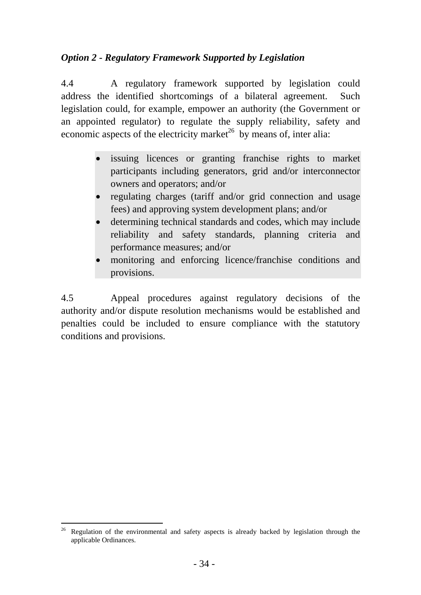## *Option 2* **-** *Regulatory Framework Supported by Legislation*

4.4 A regulatory framework supported by legislation could address the identified shortcomings of a bilateral agreement. Such legislation could, for example, empower an authority (the Government or an appointed regulator) to regulate the supply reliability, safety and economic aspects of the electricity market<sup>26</sup> by means of, inter alia:

- issuing licences or granting franchise rights to market participants including generators, grid and/or interconnector owners and operators; and/or
- regulating charges (tariff and/or grid connection and usage fees) and approving system development plans; and/or
- determining technical standards and codes, which may include reliability and safety standards, planning criteria and performance measures; and/or
- monitoring and enforcing licence/franchise conditions and provisions.

4.5 Appeal procedures against regulatory decisions of the authority and/or dispute resolution mechanisms would be established and penalties could be included to ensure compliance with the statutory conditions and provisions.

l 26 Regulation of the environmental and safety aspects is already backed by legislation through the applicable Ordinances.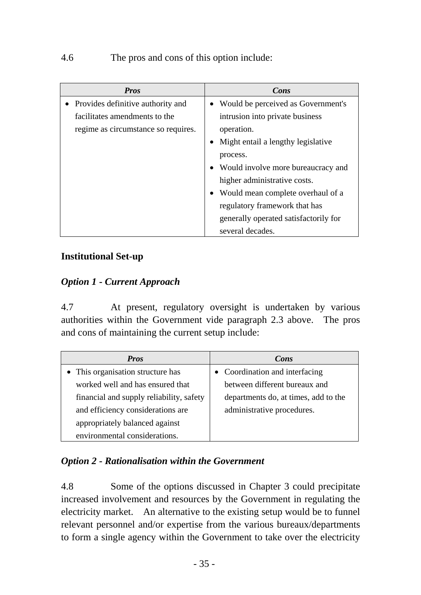## 4.6 The pros and cons of this option include:

| <b>Pros</b>                         | Cons                                  |
|-------------------------------------|---------------------------------------|
| • Provides definitive authority and | Would be perceived as Government's    |
| facilitates amendments to the       | intrusion into private business       |
| regime as circumstance so requires. | operation.                            |
|                                     | Might entail a lengthy legislative    |
|                                     | process.                              |
|                                     | Would involve more bureaucracy and    |
|                                     | higher administrative costs.          |
|                                     | • Would mean complete overhaul of a   |
|                                     | regulatory framework that has         |
|                                     | generally operated satisfactorily for |
|                                     | several decades.                      |

### **Institutional Set-up**

## *Option 1* **-** *Current Approach*

4.7 At present, regulatory oversight is undertaken by various authorities within the Government vide paragraph 2.3 above. The pros and cons of maintaining the current setup include:

| <b>Pros</b>                              | Cons                                 |
|------------------------------------------|--------------------------------------|
| • This organisation structure has        | • Coordination and interfacing       |
| worked well and has ensured that         | between different bureaux and        |
| financial and supply reliability, safety | departments do, at times, add to the |
| and efficiency considerations are        | administrative procedures.           |
| appropriately balanced against           |                                      |
| environmental considerations.            |                                      |

## *Option 2* **-** *Rationalisation within the Government*

4.8 Some of the options discussed in Chapter 3 could precipitate increased involvement and resources by the Government in regulating the electricity market. An alternative to the existing setup would be to funnel relevant personnel and/or expertise from the various bureaux/departments to form a single agency within the Government to take over the electricity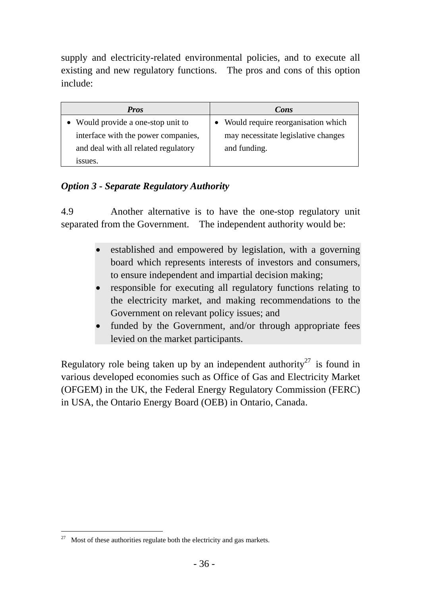supply and electricity-related environmental policies, and to execute all existing and new regulatory functions. The pros and cons of this option include:

| Pros                                 | Cons                                 |
|--------------------------------------|--------------------------------------|
| • Would provide a one-stop unit to   | • Would require reorganisation which |
| interface with the power companies,  | may necessitate legislative changes  |
| and deal with all related regulatory | and funding.                         |
| issues.                              |                                      |

## *Option 3* **-** *Separate Regulatory Authority*

4.9 Another alternative is to have the one-stop regulatory unit separated from the Government. The independent authority would be:

- established and empowered by legislation, with a governing board which represents interests of investors and consumers, to ensure independent and impartial decision making;
- responsible for executing all regulatory functions relating to the electricity market, and making recommendations to the Government on relevant policy issues; and
- funded by the Government, and/or through appropriate fees levied on the market participants.

Regulatory role being taken up by an independent authority<sup>27</sup> is found in various developed economies such as Office of Gas and Electricity Market (OFGEM) in the UK, the Federal Energy Regulatory Commission (FERC) in USA, the Ontario Energy Board (OEB) in Ontario, Canada.

 $\overline{a}$ 

 $27$  Most of these authorities regulate both the electricity and gas markets.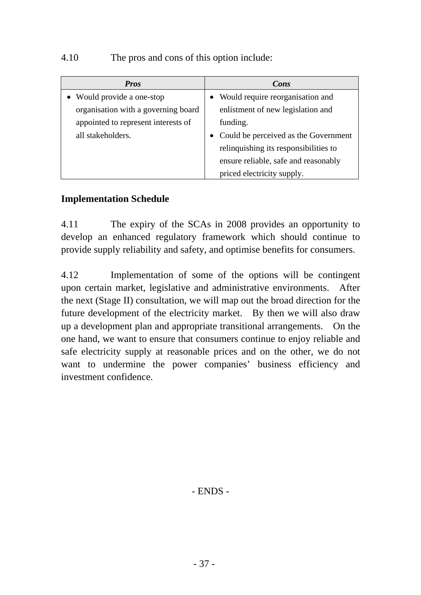### 4.10 The pros and cons of this option include:

| <b>Pros</b>                         | Cons                                  |
|-------------------------------------|---------------------------------------|
| Would provide a one-stop            | Would require reorganisation and      |
| organisation with a governing board | enlistment of new legislation and     |
| appointed to represent interests of | funding.                              |
| all stakeholders.                   | Could be perceived as the Government  |
|                                     | relinquishing its responsibilities to |
|                                     | ensure reliable, safe and reasonably  |
|                                     | priced electricity supply.            |

### **Implementation Schedule**

4.11 The expiry of the SCAs in 2008 provides an opportunity to develop an enhanced regulatory framework which should continue to provide supply reliability and safety, and optimise benefits for consumers.

4.12 Implementation of some of the options will be contingent upon certain market, legislative and administrative environments. After the next (Stage II) consultation, we will map out the broad direction for the future development of the electricity market. By then we will also draw up a development plan and appropriate transitional arrangements. On the one hand, we want to ensure that consumers continue to enjoy reliable and safe electricity supply at reasonable prices and on the other, we do not want to undermine the power companies' business efficiency and investment confidence.

- ENDS -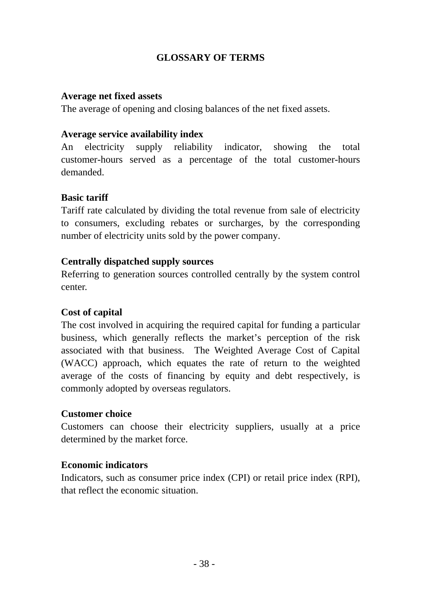## **GLOSSARY OF TERMS**

### **Average net fixed assets**

The average of opening and closing balances of the net fixed assets.

### **Average service availability index**

An electricity supply reliability indicator, showing the total customer-hours served as a percentage of the total customer-hours demanded.

### **Basic tariff**

Tariff rate calculated by dividing the total revenue from sale of electricity to consumers, excluding rebates or surcharges, by the corresponding number of electricity units sold by the power company.

### **Centrally dispatched supply sources**

Referring to generation sources controlled centrally by the system control center.

### **Cost of capital**

The cost involved in acquiring the required capital for funding a particular business, which generally reflects the market's perception of the risk associated with that business.The Weighted Average Cost of Capital (WACC) approach, which equates the rate of return to the weighted average of the costs of financing by equity and debt respectively, is commonly adopted by overseas regulators.

#### **Customer choice**

Customers can choose their electricity suppliers, usually at a price determined by the market force.

#### **Economic indicators**

Indicators, such as consumer price index (CPI) or retail price index (RPI), that reflect the economic situation.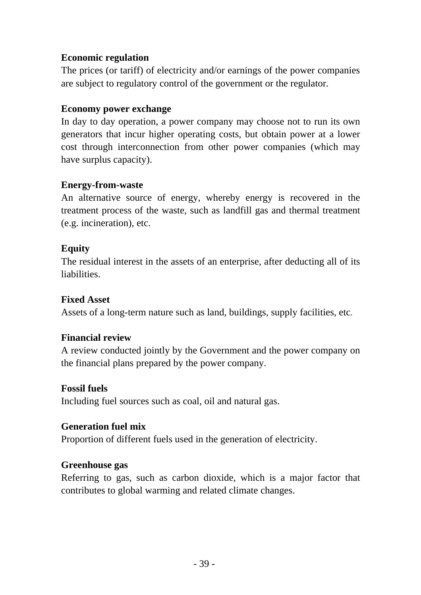### **Economic regulation**

The prices (or tariff) of electricity and/or earnings of the power companies are subject to regulatory control of the government or the regulator.

### **Economy power exchange**

In day to day operation, a power company may choose not to run its own generators that incur higher operating costs, but obtain power at a lower cost through interconnection from other power companies (which may have surplus capacity).

## **Energy-from-waste**

An alternative source of energy, whereby energy is recovered in the treatment process of the waste, such as landfill gas and thermal treatment (e.g. incineration), etc.

### **Equity**

The residual interest in the assets of an enterprise, after deducting all of its liabilities.

### **Fixed Asset**

Assets of a long-term nature such as land, buildings, supply facilities, etc*.* 

### **Financial review**

A review conducted jointly by the Government and the power company on the financial plans prepared by the power company.

### **Fossil fuels**

Including fuel sources such as coal, oil and natural gas.

### **Generation fuel mix**

Proportion of different fuels used in the generation of electricity.

### **Greenhouse gas**

Referring to gas, such as carbon dioxide, which is a major factor that contributes to global warming and related climate changes.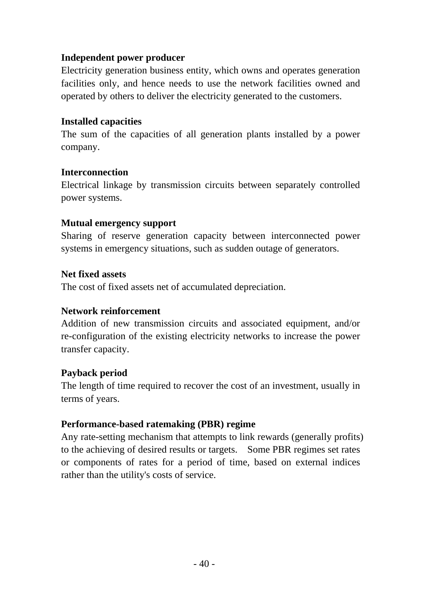### **Independent power producer**

Electricity generation business entity, which owns and operates generation facilities only, and hence needs to use the network facilities owned and operated by others to deliver the electricity generated to the customers.

#### **Installed capacities**

The sum of the capacities of all generation plants installed by a power company.

### **Interconnection**

Electrical linkage by transmission circuits between separately controlled power systems.

### **Mutual emergency support**

Sharing of reserve generation capacity between interconnected power systems in emergency situations, such as sudden outage of generators.

#### **Net fixed assets**

The cost of fixed assets net of accumulated depreciation.

#### **Network reinforcement**

Addition of new transmission circuits and associated equipment, and/or re-configuration of the existing electricity networks to increase the power transfer capacity.

### **Payback period**

The length of time required to recover the cost of an investment, usually in terms of years.

### **Performance-based ratemaking (PBR) regime**

Any rate-setting mechanism that attempts to link rewards (generally profits) to the achieving of desired results or targets. Some PBR regimes set rates or components of rates for a period of time, based on external indices rather than the utility's costs of service.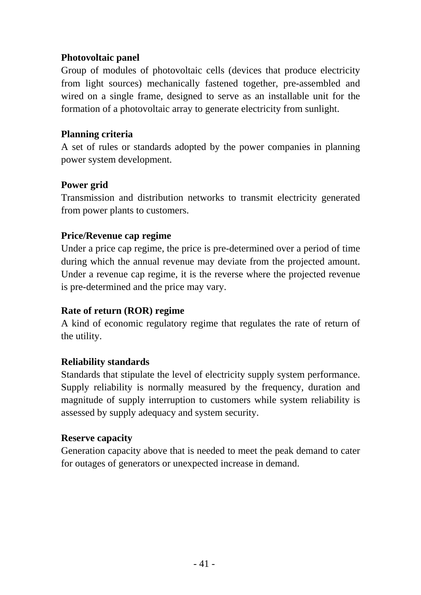### **Photovoltaic panel**

Group of modules of photovoltaic cells (devices that produce electricity from light sources) mechanically fastened together, pre-assembled and wired on a single frame, designed to serve as an installable unit for the formation of a photovoltaic array to generate electricity from sunlight.

### **Planning criteria**

A set of rules or standards adopted by the power companies in planning power system development.

### **Power grid**

Transmission and distribution networks to transmit electricity generated from power plants to customers.

### **Price/Revenue cap regime**

Under a price cap regime, the price is pre-determined over a period of time during which the annual revenue may deviate from the projected amount. Under a revenue cap regime, it is the reverse where the projected revenue is pre-determined and the price may vary.

### **Rate of return (ROR) regime**

A kind of economic regulatory regime that regulates the rate of return of the utility.

#### **Reliability standards**

Standards that stipulate the level of electricity supply system performance. Supply reliability is normally measured by the frequency, duration and magnitude of supply interruption to customers while system reliability is assessed by supply adequacy and system security.

#### **Reserve capacity**

Generation capacity above that is needed to meet the peak demand to cater for outages of generators or unexpected increase in demand.